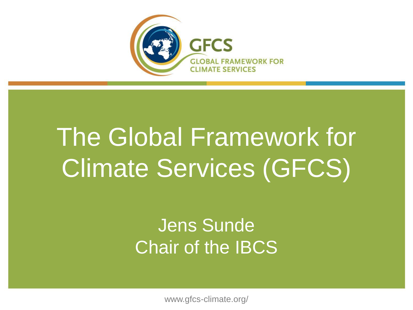

# The Global Framework for Climate Services (GFCS)

### Jens Sunde Chair of the IBCS

www.gfcs-climate.org/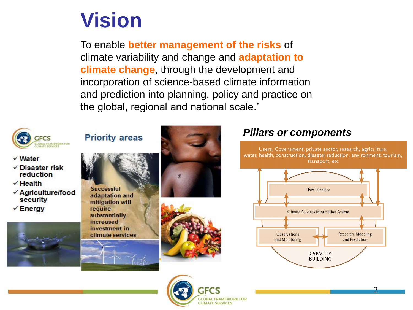### **Vision**

To enable **better management of the risks** of climate variability and change and **adaptation to climate change**, through the development and incorporation of science-based climate information and prediction into planning, policy and practice on the global, regional and national scale."

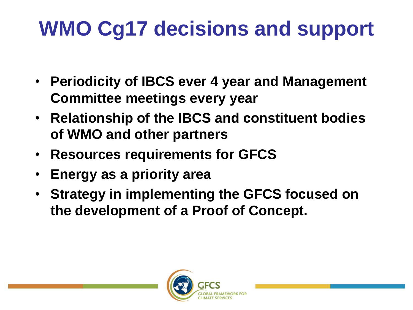# **WMO Cg17 decisions and support**

- **Periodicity of IBCS ever 4 year and Management Committee meetings every year**
- **Relationship of the IBCS and constituent bodies of WMO and other partners**
- **Resources requirements for GFCS**
- **Energy as a priority area**
- **Strategy in implementing the GFCS focused on the development of a Proof of Concept.**

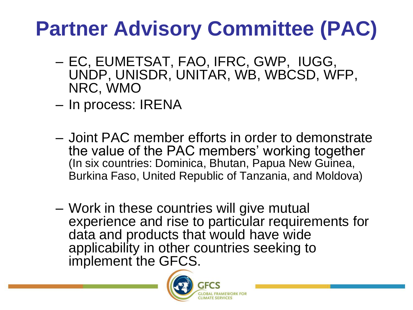# **Partner Advisory Committee (PAC)**

- EC, EUMETSAT, FAO, IFRC, GWP, IUGG, UNDP, UNISDR, UNITAR, WB, WBCSD, WFP, NRC, WMO
- In process: IRENA
- Joint PAC member efforts in order to demonstrate the value of the PAC members' working together (In six countries: Dominica, Bhutan, Papua New Guinea, Burkina Faso, United Republic of Tanzania, and Moldova)
- Work in these countries will give mutual experience and rise to particular requirements for data and products that would have wide applicability in other countries seeking to implement the GFCS.

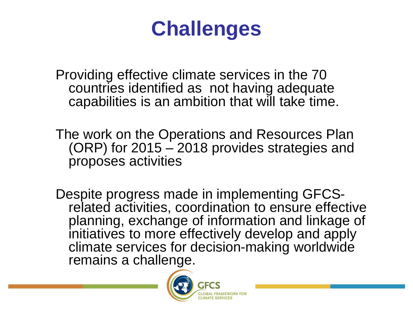### **Challenges**

Providing effective climate services in the 70 countries identified as not having adequate capabilities is an ambition that will take time.

The work on the Operations and Resources Plan (ORP) for 2015 – 2018 provides strategies and proposes activities

Despite progress made in implementing GFCSrelated activities, coordination to ensure effective planning, exchange of information and linkage of initiatives to more effectively develop and apply climate services for decision-making worldwide remains a challenge.

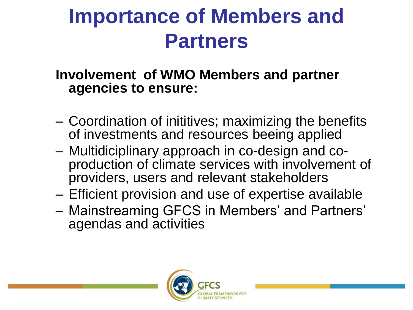## **Importance of Members and Partners**

#### **Involvement of WMO Members and partner agencies to ensure:**

- Coordination of inititives; maximizing the benefits of investments and resources beeing applied
- Multidiciplinary approach in co-design and coproduction of climate services with involvement of providers, users and relevant stakeholders
- Efficient provision and use of expertise available
- Mainstreaming GFCS in Members' and Partners' agendas and activities

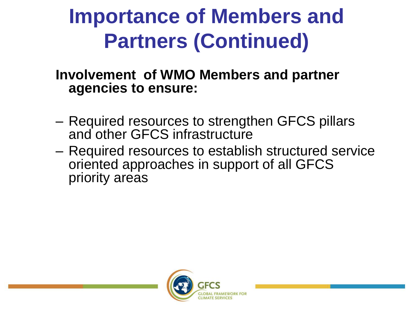# **Importance of Members and Partners (Continued)**

**Involvement of WMO Members and partner agencies to ensure:** 

- Required resources to strengthen GFCS pillars and other GFCS infrastructure
- Required resources to establish structured service oriented approaches in support of all GFCS priority areas

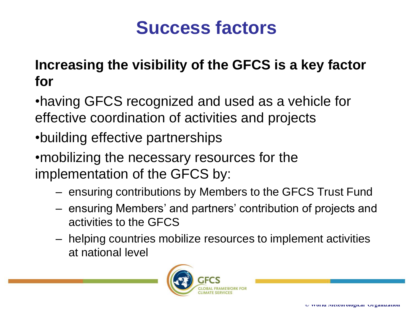### **Success factors**

#### **Increasing the visibility of the GFCS is a key factor for**

•having GFCS recognized and used as a vehicle for effective coordination of activities and projects

•building effective partnerships

•mobilizing the necessary resources for the implementation of the GFCS by:

- ensuring contributions by Members to the GFCS Trust Fund
- ensuring Members' and partners' contribution of projects and activities to the GFCS
- helping countries mobilize resources to implement activities at national level